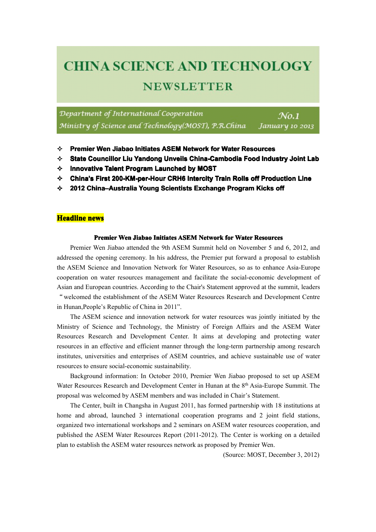# **CHINA SCIENCE AND TECHNOLOGY NEWSLETTER**

Department of International Cooperation Ministry of Science and Technology(MOST), P.R.China

 $N<sub>0.1</sub>$ January 10 2013

- **� Premier Premier Wen Jiabao Initiates Initiates ASEM Network Network Networkfor Water Resources Resources Resources**
- $\div$  State Councillor Liu Yandong Unveils China-Cambodia Food Industry Joint Lab
- $\diamond$  **Innovative Talent Program Launched by MOST**
- $\diamond$  China's First 200-KM-per-Hour CRH6 Intercity Train Rolls off Production Line
- **<b>↑** 2012 China–Australia Young Scientists Exchange Program Kicks off

# **Headline Headline news**

#### **Premier Wen Jiabao Initiates ASEM Network for Water Resources**

Premier Wen Jiabao attended the 9th ASEM Summit held on November 5 and 6, 2012, and addressed the opening ceremony. In his address, the Premier pu<sup>t</sup> forward <sup>a</sup> proposal to establish the ASEM Science and Innovation Network for Water Resources, so as to enhance Asia-Europe cooperation on water resources managemen<sup>t</sup> and facilitate the social-economic development of Asian and European countries. According to the Chair's Statement approved at the summit, leaders "welcomed the establishment of the ASEMWater Resources Research and Development Centre in Hunan,People's Republic of China in 2011".

The ASEM science and innovation network for water resources was jointly initiated by the Ministry of Science and Technology, the Ministry of Foreign Affairs and the ASEM Water Resources Research and Development Center. It aims at developing and protecting water resources in an effective and efficient manner through the long-term partnership among research institutes, universities and enterprises of ASEM countries, and achieve sustainable use of water resources to ensure social-economic sustainability.

Background information: In October 2010, Premier Wen Jiabao proposed to set up ASEM Water Resources Research and Development Center in Hunan at the 8<sup>th</sup> Asia-Europe Summit. The proposal was welcomed by ASEM members and was included in Chair's Statement.

The Center, built in Changsha in August 2011, has formed partnership with 18 institutions at home and abroad, launched 3 international cooperation programs and 2 joint field stations, organized two international workshops and 2 seminars on ASEM water resources cooperation, and published the ASEM Water Resources Report (2011-2012). The Center is working on a detailed plan to establish the ASEM water resources network as proposed by Premier Wen.

(Source: MOST, December 3, 2012)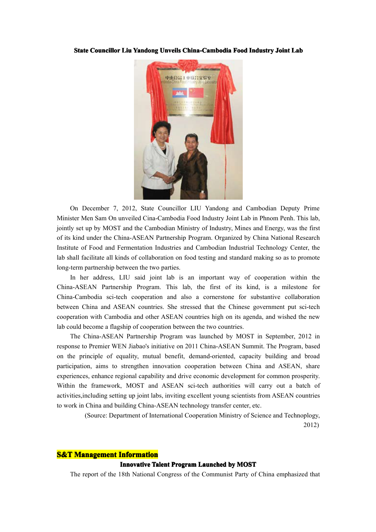#### State Councillor Liu Yandong Unveils China-Cambodia Food Industry Joint Lab



On December 7, 2012, State Councillor LIU Yandong and Cambodian Deputy Prime Minister Men SamOn unveiled Cina-Cambodia Food Industry Joint Lab in Phnom Penh. This lab, jointly set up by MOST and the Cambodian Ministry of Industry, Mines and Energy, was the first of its kind under the China-ASEAN Partnership Program. Organized by China National Research Institute of Food and Fermentation Industries and Cambodian Industrial Technology Center, the lab shall facilitate all kinds of collaboration on food testing and standard making so as topromote long-term partnership between the two parties.

In her address, LIU said joint lab is an important way of cooperation within the China-ASEAN Partnership Program. This lab, the first of its kind, is <sup>a</sup> milestone for China-Cambodia sci-tech cooperation and also <sup>a</sup> cornerstone for substantive collaboration between China and ASEAN countries. She stressed that the Chinese governmen<sup>t</sup> pu<sup>t</sup> sci-tech cooperation with Cambodia and other ASEAN countries high on its agenda, and wished the new lab could become <sup>a</sup> flagship of cooperation between the two countries.

The China-ASEAN Partnership Program was launched by MOST in September, 2012 in response to Premier WEN Jiabao's initiative on 2011 China-ASEAN Summit. The Program, based on the principle of equality, mutual benefit, demand-oriented, capacity building and broad participation, aims to strengthen innovation cooperation between China and ASEAN, share experiences, enhance regional capability and drive economic development for common prosperity. Within the framework, MOST and ASEAN sci-tech authorities will carry out a batch of activities,including setting up joint labs, inviting excellent young scientists from ASEAN countries to work in China and building China-ASEAN technology transfer center, etc.

> (Source: Department of International Cooperation Ministry of Science and Technoplogy, 2012)

## **S&T Management Management Information Information**

#### **Innovative Talent Program Launched by MOST**

The repor<sup>t</sup> of the 18th National Congress of the Communist Party of China emphasized that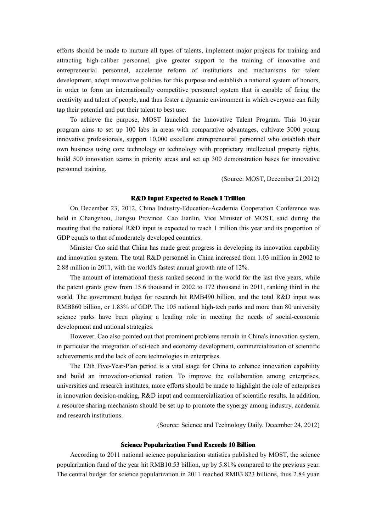efforts should be made to nurture all types of talents, implement major projects for training and attracting high-caliber personnel, give greater suppor<sup>t</sup> to the training of innovative and entrepreneurial personnel, accelerate reform of institutions and mechanisms for talent development, adopt innovative policies for this purpose and establish <sup>a</sup> national system of honors, in order to form an internationally competitive personnel system that is capable of firing the creativity and talent of people, and thus foster <sup>a</sup> dynamic environment in which everyone can fully tap their potential and pu<sup>t</sup> their talent to best use.

To achieve the purpose, MOST launched the Innovative Talent Program. This 10-year program aims to set up 100 labs in areas with comparative advantages, cultivate 3000 young innovative professionals, suppor<sup>t</sup> 10,000 excellent entrepreneurial personnel who establish their own business using core technology or technology with proprietary intellectual property rights, build 500 innovation teams in priority areas and set up 300 demonstration bases for innovative personnel training.

(Source: MOST, December 21,2012)

#### **R&D Input Expected Expected to Reach 1 Trillion Trillion Trillion**

On December 23, 2012, China Industry-Education-Academia Cooperation Conference was held in Changzhou, Jiangsu Province. Cao Jianlin, Vice Minister of MOST, said during the meeting that the national R&D input is expected to reach 1 trillion this year and its proportion of GDP equals to that of moderately developed countries.

Minister Cao said that China has made grea<sup>t</sup> progress indeveloping its innovation capability and innovation system. The total R&D personnel in China increased from 1.03 million in 2002 to 2.88 million in 2011, with the world's fastest annual growth rate of 12%.

The amount of international thesis ranked second in the world for the last five years, while the patent grants grew from 15.6 thousand in 2002 to 172 thousand in 2011, ranking third in the world. The governmen<sup>t</sup> budget for research hit RMB490 billion, and the total R&D input was RMB860 billion, or 1.83% of GDP. The 105 national high-tech parks and more than 80 university science parks have been playing <sup>a</sup> leading role in meeting the needs of social-economic development and national strategies.

However, Cao also pointed out that prominent problems remain in China's innovation system, in particular the integration of sci-tech and economy development, commercialization of scientific achievements and the lack of core technologies in enterprises.

The 12th Five-Year-Plan period is <sup>a</sup> vital stage for China to enhance innovation capability and build an innovation-oriented nation. To improve the collaboration among enterprises, universities and research institutes, more efforts should be made to highlight therole of enterprises in innovation decision-making, R&D input and commercialization of scientific results. In addition, <sup>a</sup> resource sharing mechanism should be set up to promote the synergy among industry, academia and research institutions.

(Source: Science and Technology Daily, December 24, 2012)

#### $S$ cience **Popularization Fund Exceeds** 10 **Billion**

According to 2011 national science popularization statistics published by MOST, the science popularization fund of the year hit RMB10.53 billion, up by 5.81% compared to the previous year. The central budget for science popularization in 2011 reached RMB3.823 billions, thus 2.84 yuan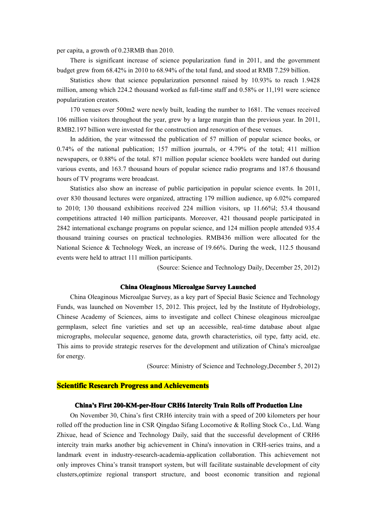per capita, <sup>a</sup> growth of 0.23RMB than 2010.

There is significant increase of science popularization fund in 2011, and the governmen<sup>t</sup> budget grew from 68.42% in 2010 to 68.94% of the total fund, and stood at RMB 7.259 billion.

Statistics show that science popularization personnel raised by 10.93% to reach 1.9428 million, among which 224.2 thousand worked as full-time staff and 0.58% or 11,191 were science popularization creators.

170 venues over 500m2 were newly built, leading the number to 1681. The venues received 106 million visitors throughout the year, grew by a large margin than the previous year. In 2011, RMB2.197 billion were invested for the construction and renovation of these venues.

In addition, the year witnessed the publication of 57 million of popular science books, or 0.74% of the national publication; 157million journals, or 4.79% of the total; 411 million newspapers, or 0.88% of the total. 871 million popular science booklets were handed out during various events, and 163.7 thousand hours of popular science radio programs and 187.6 thousand hours of TV programs were broadcast.

Statistics also show an increase of public participation in popular science events. In 2011, over 830 thousand lectures were organized, attracting 179 million audience, up 6.02% compared to 2010; 130 thousand exhibitions received 224 million visitors, up  $11.66\%$ l; 53.4 thousand competitions attracted 140 million participants. Moreover, 421 thousand people participated in 2842 international exchange programs on popular science, and 124 million people attended 935.4 thousand training courses on practical technologies. RMB436 million were allocated for the National Science & Technology Week, an increase of 19.66%. During the week, 112.5 thousand events were held to attract 111 million participants.

(Source: Science and Technology Daily, December 25, 2012)

## **China Oleaginous OleaginousMicroalgae Survey Launched**

China Oleaginous Microalgae Survey, as akey par<sup>t</sup> of Special Basic Science and Technology Funds, was launched on November 15, 2012. This project, led by the Institute of Hydrobiology, Chinese Academy of Sciences, aims to investigate and collect Chinese oleaginous microalgae germplasm, select fine varieties and set up an accessible, real-time database about algae micrographs, molecular sequence, genome data, growth characteristics, oil type, fatty acid, etc. This aims to provide strategic reserves for the development and utilization of China's microalgae for energy.

(Source: Ministry of Science and Technology,December 5, 2012)

# **Scientific Research Progress and Achievements**

## **China's First 200-KM-per-Hour CRH6 Intercity Train Rolls off Production Line**

On November 30, China's first CRH6 intercity train with <sup>a</sup> speed of 200 kilometers per hour rolled off the production line in CSR Qingdao Sifang Locomotive & Rolling Stock Co., Ltd. Wang Zhixue, head of Science and Technology Daily, said that the successful development of CRH6 intercity train marks another big achievement in China's innovation in CRH-series trains, and <sup>a</sup> landmark event in industry-research-academia-application collaboration. This achievement not only improves China's transit transport system, but will facilitate sustainable development of city clusters,optimize regional transport structure, and boost economic transition and regional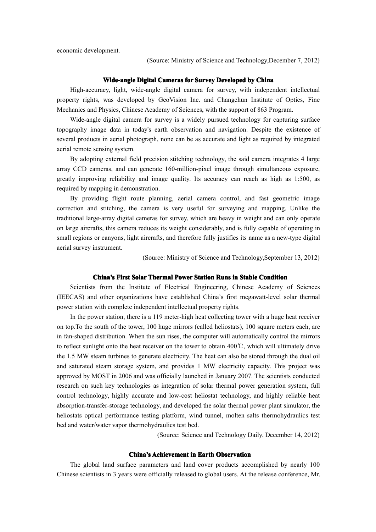economic development.

(Source: Ministry of Science and Technology,December 7, 2012)

### **Wide-angle Digital Cameras for Survey Developed by China**

High-accuracy, light, wide-angle digital camera for survey, with independent intellectual property rights, was developed by GeoVision Inc. and Changchun Institute of Optics, Fine Mechanics and Physics, Chinese Academy of Sciences, with the suppor<sup>t</sup> of 863 Program.

Wide-angle digital camera for survey is <sup>a</sup> widely pursued technology for capturing surface topography image data in today's earth observation and navigation. Despite the existence of several products in aerial photograph, none can be as accurate and light as required by integrated aerial remote sensing system.

By adopting external field precision stitching technology, the said camera integrates 4 large array CCD cameras, and can generate 160-million-pixel image through simultaneous exposure, greatly improving reliability and image quality. Its accuracy can reach as high as 1:500, as required by mapping in demonstration.

By providing flight route planning, aerial camera control, and fast geometric image correction and stitching, the camera is very useful for surveying and mapping. Unlike the traditional large-array digital cameras for survey, which are heavy in weight and can only operate on large aircrafts, this camera reduces its weight considerably, and is fully capable of operating in small regions or canyons, light aircrafts, and therefore fully justifies its name as <sup>a</sup> new-type digital aerial survey instrument.

(Source: Ministry of Science and Technology,September 13, 2012)

## **China's First Solar Thermal Power Station Runs in Stable Condition**

Scientists from the Institute of Electrical Engineering, Chinese Academy of Sciences (IEECAS) and other organizations have established China's first megawatt-level solar thermal power station with complete independent intellectual property rights.

In the power station, there is <sup>a</sup> 119 meter-high heat collecting tower with <sup>a</sup> huge heat receiver on top.To the south of the tower, 100 huge mirrors (called heliostats), 100 square meters each, are in fan-shaped distribution. When the sun rises, the computer will automatically control themirrors to reflect sunlight onto the heat receiver on the tower to obtain 400℃, which will ultimately drive the 1.5 MW steam turbines to generate electricity. The heat can also be stored through the dual oil and saturated steam storage system, and provides 1 MW electricity capacity. This project was approved by MOST in 2006 and was officially launched in January 2007. The scientists conducted research on such key technologies as integration of solar thermal power generation system, full control technology, highly accurate and low-cost heliostat technology, and highly reliable heat absorption-transfer-storage technology, and developed the solar thermal power plant simulator, the heliostats optical performance testing platform, wind tunnel, molten salts thermohydraulics test bed and water/water vapor thermohydraulics test bed.

(Source: Science and Technology Daily, December 14, 2012)

#### $China's$  **Achievement** in Earth Observation

The global land surface parameters and land cover products accomplished by nearly 100 Chinese scientists in3 years were officially released to global users. At therelease conference, Mr.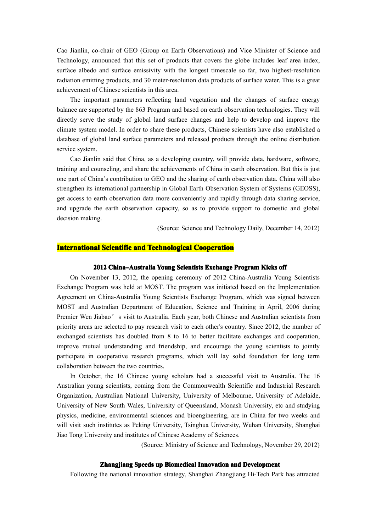Cao Jianlin, co-chair of GEO (Group on Earth Observations) and Vice Minister of Science and Technology, announced that this set of products that covers the globe includes leaf area index, surface albedo and surface emissivity with the longest timescale so far, two highest-resolution radiation emitting products, and 30 meter-resolution data products of surface water. This is <sup>a</sup> grea<sup>t</sup> achievement of Chinese scientists in this area.

The important parameters reflecting land vegetation and the changes of surface energy balance are supported by the 863 Program and based on earth observation technologies. They will directly serve the study of global land surface changes and help to develop and improve the climate system model. In order to share these products, Chinese scientists have also established <sup>a</sup> database of global land surface parameters and released products through the online distribution service system.

Cao Jianlin said that China, as <sup>a</sup> developing country, will provide data, hardware, software, training and counseling, and share the achievements of China in earth observation. But this is just one par<sup>t</sup> of China's contribution to GEO and the sharing of earth observation data. China will also strengthen its international partnership in Global Earth Observation System of Systems (GEOSS), ge<sup>t</sup> access to earth observation data more conveniently and rapidly through data sharing service, and upgrade the earth observation capacity, so as to provide suppor<sup>t</sup> to domestic and global decision making.

(Source: Science and Technology Daily, December 14, 2012)

# **International Scientific and Technological Cooperation**

#### **2012** China–Australia Young Scientists Exchange Program Kicks off

On November 13, 2012, the opening ceremony of 2012 China-Australia Young Scientists Exchange Program was held at MOST. The program was initiated based on the Implementation Agreement on China-Australia Young Scientists Exchange Program, which was signed between MOST and Australian Department of Education, Science and Training in April, 2006 during Premier Wen Jiabao's visit to Australia. Each year, both Chinese and Australian scientists from priority areas are selected to pay research visit to each other's country. Since 2012, the number of exchanged scientists has doubled from 8 to 16 to better facilitate exchanges and cooperation, improve mutual understanding and friendship, and encourage the young scientists to jointly participate in cooperative research programs, which will lay solid foundation for long term collaboration between the two countries.

In October, the 16 Chinese young scholars had <sup>a</sup> successful visit to Australia. The 16 Australian young scientists, coming from the Commonwealth Scientific and Industrial Research Organization, Australian National University, University of Melbourne, University of Adelaide, University of New South Wales, University of Queensland, Monash University, etc and studying physics, medicine, environmental sciences and bioengineering, are in China for two weeks and will visit such institutes as Peking University, Tsinghua University, Wuhan University, Shanghai Jiao Tong University and institutes of Chinese Academy of Sciences.

(Source: Ministry of Science and Technology, November 29, 2012)

#### **Zhangjiang Speeds up Biomedical Innovation and Development**

Following the national innovation strategy, Shanghai Zhangjiang Hi-Tech Park has attracted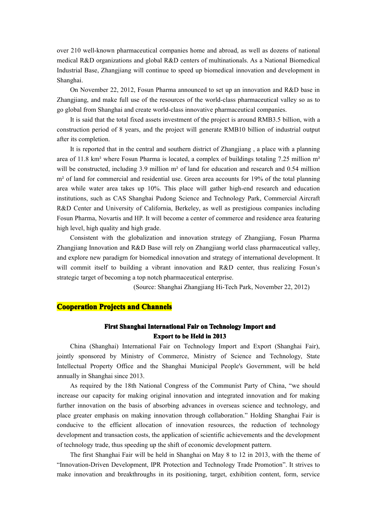over 210 well-known pharmaceutical companies home and abroad, as well as dozens of national medical R&D organizations and global R&D centers of multinationals. As <sup>a</sup> National Biomedical Industrial Base, Zhangjiang will continue to speed up biomedical innovation and development in Shanghai.

On November 22, 2012, Fosun Pharma announced to set up an innovation and R&D base in Zhangjiang, and make full use of the resources of the world-class pharmaceutical valley so as to go global from Shanghai and create world-class innovative pharmaceutical companies.

It is said that the total fixed assets investment of the project is around RMB3.5 billion, with <sup>a</sup> construction period of 8 years, and the project will generate RMB10 billion of industrial output after its completion.

It is reported that in the central and southern district of Zhangjiang, a place with a planning area of 11.8 km² where Fosun Pharma is located, a complex of buildings totaling 7.25 million  $m<sup>2</sup>$ will be constructed, including 3.9 million m<sup>2</sup> of land for education and research and 0.54 million m<sup>2</sup> of land for commercial and residential use. Green area accounts for 19% of the total planning area while water area takes up 10%. This place will gather high-end research and education institutions, such as CAS Shanghai Pudong Science and Technology Park, Commercial Aircraft R&D Center and University of California, Berkeley, as well as prestigious companies including Fosun Pharma, Novartis and HP. It will become <sup>a</sup> center of commerce and residence area featuring high level, high quality and high grade.

Consistent with the globalization and innovation strategy of Zhangjiang, Fosun Pharma Zhangjiang Innovation and R&D Base will rely on Zhangjiang world class pharmaceutical valley, and explore new paradigm for biomedical innovation and strategy of international development. It will commit itself to building a vibrant innovation and R&D center, thus realizing Fosun's strategic target of becoming <sup>a</sup> top notch pharmaceutical enterprise.

(Source: Shanghai Zhangjiang Hi-Tech Park, November 22, 2012)

## **Cooperation Projects and Channels**

# **First Shanghai International Fair on Technology Import and Export to be Held in 2013**

China (Shanghai) International Fair on Technology Import and Export (Shanghai Fair), jointly sponsored by Ministry of Commerce, Ministry of Science and Technology, State Intellectual Property Office and the Shanghai Municipal People's Government, will be held annually in Shanghai since 2013.

As required by the 18th National Congress of the Communist Party of China, "we should increase our capacity for making original innovation and integrated innovation and for making further innovation on the basis of absorbing advances in overseas science and technology, and place greater emphasis on making innovation through collaboration." Holding Shanghai Fair is conducive to the efficient allocation of innovation resources, the reduction of technology development and transaction costs, the application of scientific achievements and the development of technology trade, thus speeding up the shift of economic development pattern.

The first Shanghai Fair will be held in Shanghai on May 8 to 12 in 2013, with the theme of "Innovation-Driven Development, IPR Protection and Technology Trade Promotion". It strives to make innovation and breakthroughs in its positioning, target, exhibition content, form, service